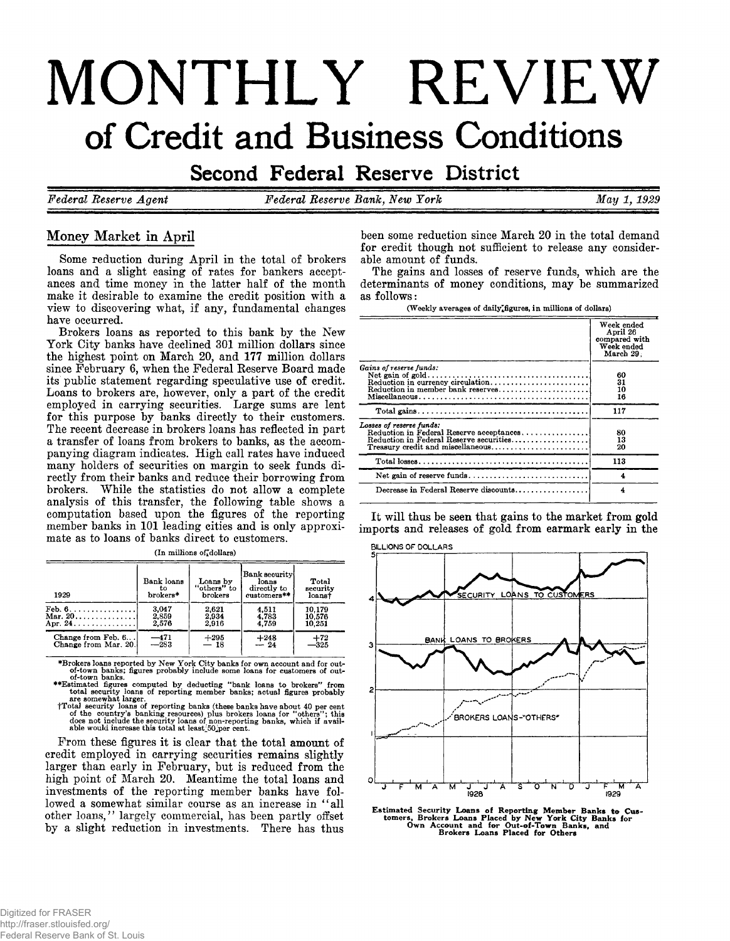# **MONTHLY REVIEW of Credit and Business Conditions**

Second Federal Reserve District

*Federal Reserve Agent Federal Reserve Bank, New York May 1 , 1929*

# **Money Market in April**

**Some reduction during April in the total of brokers loans and a slight easing of rates for bankers acceptances and time money in the latter half of the month make it desirable to examine the credit position with a view to discovering what, if any, fundamental changes have occurred.**

**Brokers loans as reported to this bank by the New York City banks have declined 301 million dollars since the highest point on March 20, and 177 million dollars since February 6, when the Federal Reserve Board made its public statement regarding speculative use of credit. Loans to brokers are, however, only a part of the credit employed in carrying securities. Large sums are lent for this purpose by banks directly to their customers. The recent decrease in brokers loans has reflected in part a transfer of loans from brokers to banks, as the accompanying diagram indicates. High call rates have induced many holders of securities on margin to seek funds directly from their banks and reduce their borrowing from brokers. While the statistics do not allow a complete analysis of this transfer, the following table shows a computation based upon the figures of the reporting member banks in 101 leading cities and is only approximate as to loans of banks direct to customers.**

| 1929                                           | Bank loans<br>tο<br>brokers* | Loans by<br>"others" to<br>brokers | Bank security<br>loans<br>directly to<br>customers** | Total<br>security<br>loanst |
|------------------------------------------------|------------------------------|------------------------------------|------------------------------------------------------|-----------------------------|
| $\mathbf{Feb. 6.} \ldots \ldots \ldots \ldots$ | 3.047                        | 2.621                              | 4.511                                                | 10.179                      |
| Mar. $20$                                      | 2.859                        | 2.934                              | 4.783                                                | 10.576                      |
| Apr. 24.                                       | 2.576                        | 2.916                              | 4.759                                                | 10.251                      |
| Change from Feb. 6                             | -- 471                       | $+295$                             | $+248$                                               | $+72$                       |
| Change from Mar. 20.                           | $-283$                       | $-18$                              | $-24$                                                | $-325$                      |

**(In millions of^dollars)**

\*Brokers loans reported by New York City banks for own account and for out-<br>of-town banks; figures probably include some loans for customers of out-<br>of-town banks.<br>The properties computed by deducting "bank loans to broke

**From these figures it is clear that the total amount of credit employed in carrying securities remains slightly larger than early in February, but is reduced from the high point of March 20. Meantime the total loans and investments of the reporting member banks have followed a somewhat similar course as an increase in " all other loans, ' ' largely commercial, has been partly offset by a slight reduction in investments. There has thus**

**been some reduction since March 20 in the total demand for credit though not sufficient to release any considerable amount of funds.**

**The gains and losses of reserve funds, which are the determinants of money conditions, may be summarized as follows:**

**(Weekly averages of daily ^figures, in millions of dollars)**

|                                                                                                                                                      | Week ended<br>April 26<br>compared with<br>Week ended<br>March 29. |
|------------------------------------------------------------------------------------------------------------------------------------------------------|--------------------------------------------------------------------|
| Gains of reserve funds:<br>Reduction in member bank reserves                                                                                         | 60<br>31<br>10<br>16                                               |
|                                                                                                                                                      | 117                                                                |
| Losses of reserve funds:<br>Reduction in Federal Reserve acceptances<br>Reduction in Federal Reserve securities<br>Treasury credit and miscellaneous | 80<br>13<br>20                                                     |
|                                                                                                                                                      | 113                                                                |
|                                                                                                                                                      | 4                                                                  |
| Decrease in Federal Reserve discounts                                                                                                                | 4                                                                  |

**It will thus be seen that gains to the market from gold imports and releases of gold from earmark early in the**



Estimated Security Loans of Reporting Member Banks to Cus-tomers, Brokers Loans Placed by New York City Banks for Own Account and for Out-of-Town Banks, and Brokers Loans Placed for Others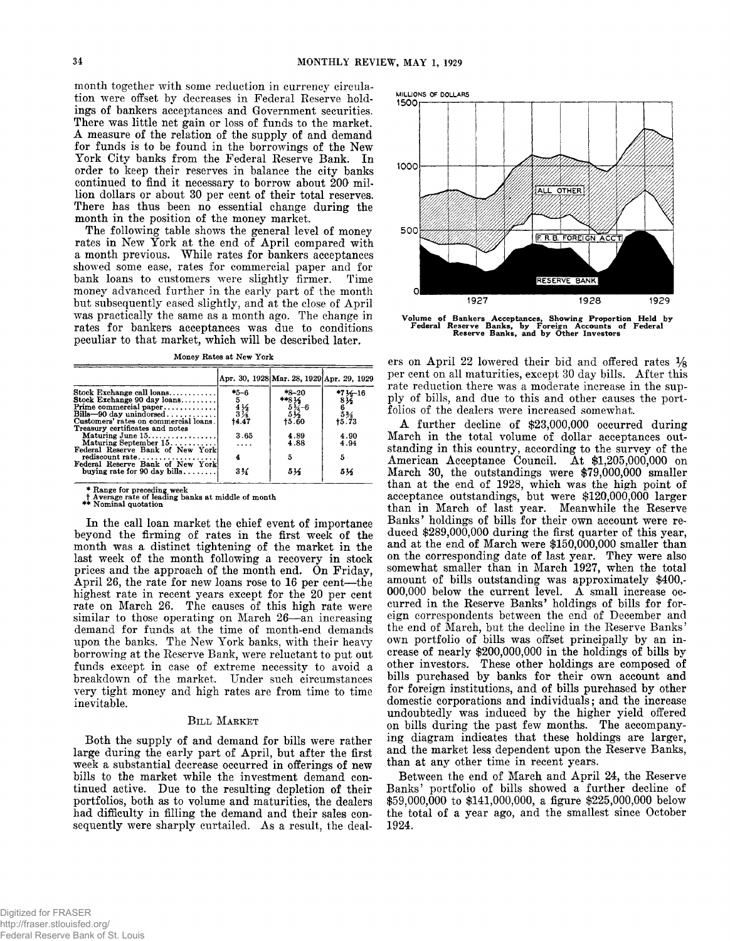**month together with some reduction in currency circulation were offset by decreases in Federal Reserve holdings of bankers acceptances and Government securities. There was little net gain or loss of funds to the market. A measure of the relation of the supply of and demand for funds is to be found in the borrowings of the New York City banks from the Federal Reserve Bank. In order to keep their reserves in balance the city banks continued to find it necessary to borrow about 200 million dollars or about 30 per cent of their total reserves. There has thus been no essential change during the month in the position of the money market.**

**The following table shows the general level of money rates in New York at the end of April compared with a month previous. While rates for bankers acceptances showed some ease, rates for commercial paper and for bank loans to customers were slightly firmer. Time money advanced further in the early part of the month but subsequently eased slightly, and at the close of April was practically the same as a month ago. The change in rates for bankers acceptances was due to conditions peculiar to that market, which will be described later.**

**Money Rates at New York**

|                                                                                                         |                                   | Apr. 30, 1928 Mar. 28, 1929 Apr. 29, 1929 |                                        |
|---------------------------------------------------------------------------------------------------------|-----------------------------------|-------------------------------------------|----------------------------------------|
| Stock Exchange call loans<br>Stock Exchange 90 day loans<br>Prime commercial paper                      | $*_{5-6}$<br>$5^{\circ}$          | $*_{8-20}$<br>**814-6<br>534-6<br>512     | $*7\frac{1}{2}$ -16<br>8 $\frac{1}{2}$ |
| $Bills - 90$ day unindorsed<br>Customers' rates on commercial loans.<br>Treasury certificates and notes | $\frac{4}{3}\frac{1}{2}$<br>+4.47 | 15.60                                     | $5\frac{3}{73}$                        |
| Maturing June $15$<br>Maturing September $15, \ldots, \ldots$<br>Federal Reserve Bank of New York       | 3.65<br>$\cdots$                  | 4.89<br>4.88                              | 4.90<br>4.94                           |
| rediscount rate<br>Federal Reserve Bank of New York                                                     |                                   | 5                                         | 5                                      |
| buying rate for 90 day bills                                                                            | $3\%$                             | 514                                       | 514                                    |

**\* Range for preceding week t Average rate of leading banks at middle of month \*\* Nominal quotation**

**In the call loan market the chief event of importance beyond the firming of rates in the first week of the month was a distinct tightening of the market in the last week of the month following a recovery in stock prices and the approach of the month end. On Friday, April 26, the rate for new loans rose to 16 per cent— the highest rate in recent years except for the 20 per cent rate on March 26. The causes of this high rate were similar to those operating on March 26— an increasing demand for funds at the time of month-end demands upon the banks. The New York banks, with their heavy borrowing at the Reserve Bank, were reluctant to put out funds except in case of extreme necessity to avoid a breakdown of the market. Under such circumstances very tight money and high rates are from time to time inevitable.**

#### BILL MARKET

**Both the supply of and demand for bills were rather large during the early part of April, but after the first week a substantial decrease occurred in offerings of new bills to the market while the investment demand continued active. Due to the resulting depletion of their portfolios, both as to volume and maturities, the dealers had difficulty in filling the demand and their sales consequently were sharply curtailed. As a result, the deal-**



Volume of Bankers Acceptances, Showing Proportion Held by Federal Reserve Banks, by Foreign Accounts of Federal Reserve Banks, and by Other Investors

**ers on April 22 lowered their bid and offered rates % per cent on all maturities, except 30 day bills. After this rate reduction there was a moderate increase in the supply of bills, and due to this and other causes the portfolios of the dealers were increased somewhat.**

**A further decline of \$23,000,000 occurred during March in the total volume of dollar acceptances outstanding in this country, according to the survey of the** American Acceptance Council. At \$1,205,000,000 on March 30, the outstandings were \$79,000,000 smaller **than at the end of 1928, which was the high point of acceptance outstandings, but were \$120,000,000 larger than in March of last year. Meanwhile the Reserve Banks' holdings of bills for their own account were reduced \$289,000,000 during the first quarter of this year, and at the end of March were \$150,000,000 smaller than on the corresponding date of last year. They were also somewhat smaller than in March 1927, when the total amount of bills outstanding was approximately \$400,- 000,000 below the current level. A small increase occurred in the Reserve Banks' holdings of bills for foreign correspondents between the end of December and the end of March, but the decline in the Reserve Banks' own portfolio of bills was offset principally by an increase of nearly \$200,000,000 in the holdings of bills by other investors. These other holdings are composed of bills purchased by banks for their own account and** for foreign institutions, and of bills purchased by other **domestic corporations and individuals; and the increase undoubtedly was induced by the higher yield offered on bills during the past few months. The accompanying diagram indicates that these holdings are larger, and the market less dependent upon the Reserve Banks, than at any other time in recent years.**

**Between the end of March and April 24, the Reserve Banks' portfolio of bills showed a further decline of \$59,000,000 to \$141,000,000, a figure \$225,000,000 below the total of a year ago, and the smallest since October 1924.**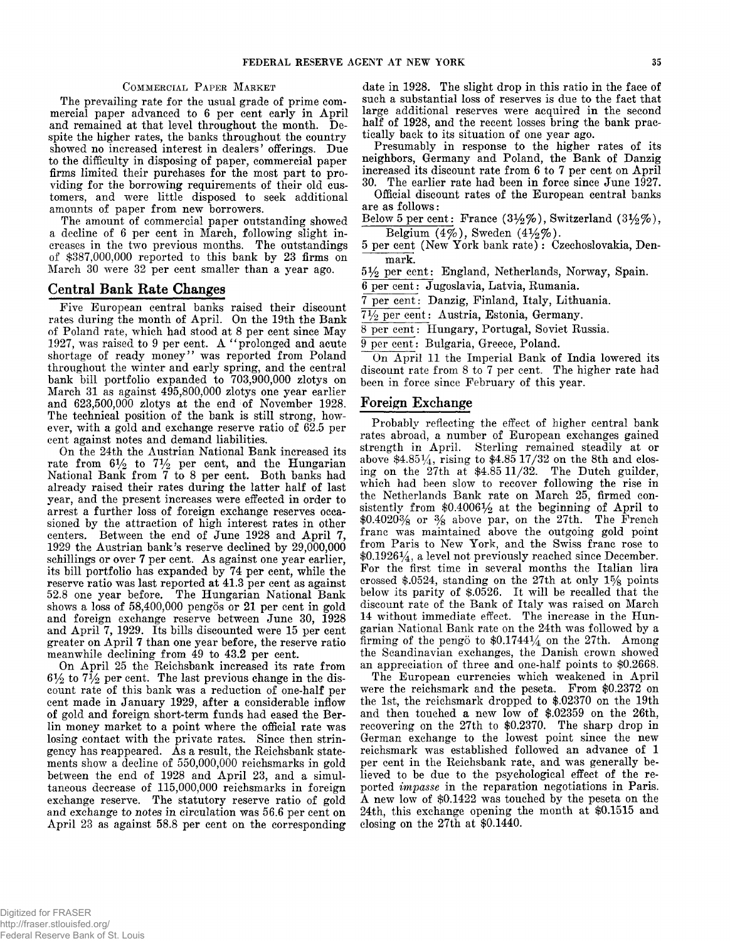**The prevailing rate for the usual grade of prime commercial paper advanced to 6 per cent early in April and remained at that level throughout the month. Despite the higher rates, the banks throughout the country showed no increased interest in dealers' offerings. Due to the difficulty in disposing of paper, commercial paper firms limited their purchases for the most part to providing for the borrowing requirements of their old customers, and were little disposed to seek additional amounts of paper from new borrowers.**

**The amount of commercial paper outstanding showed a decline of 6 per cent in March, following slight increases in the two previous months. The outstandings of \$387,000,000 reported to this bank by 23 firms on March 30 were 32 per cent smaller than a year ago.**

## **Central Bank Rate Changes**

**Five European central banks raised their discount rates during the month of April. On the 19th the Bank of Poland rate, which had stood at 8 per cent since May 1927, was raised to 9 per cent. A " prolonged and acute shortage of ready money" was reported from Poland throughout the winter and early spring, and the central bank bill portfolio expanded to 703,900,000 zlotys on March 31 as against 495,800,000 zlotys one year earlier and 623,500,000 zlotys at the end of November 1928. The technical position of the bank is still strong, however, with a gold and exchange reserve ratio of 62.5 per cent against notes and demand liabilities.**

**On the 24th the Austrian National Bank increased its** rate from  $6\frac{1}{2}$  to  $7\frac{1}{2}$  per cent, and the Hungarian **National Bank from 7 to 8 per cent. Both banks had already raised their rates during the latter half of last year, and the present increases were effected in order to arrest a further loss of foreign exchange reserves occasioned by the attraction of high interest rates in other centers. Between the end of June 1928 and April 7, 1929 the Austrian bank's reserve declined by 29,000,000 schillings or over 7 per cent. As against one year earlier, its bill portfolio has expanded by 74 per cent, while the reserve ratio was last reported at 41.3 per cent as against 52.8 one year before. The Hungarian National Bank shows a loss of 58,400,000 pengos or 21 per cent in gold and foreign exchange reserve between June 30, 1928 and April 7, 1929. Its bills discounted were 15 per cent greater on April 7 than one year before, the reserve ratio meanwhile declining from 49 to 43.2 per cent.**

**On April 25 the Reichsbank increased its rate from**  $6\frac{1}{2}$  to  $7\frac{1}{2}$  per cent. The last previous change in the dis**count rate of this bank was a reduction of one-half per cent made in January 1929, after a considerable inflow of gold and foreign short-term funds had eased the Berlin money market to a point where the official rate was losing contact with the private rates. Since then stringency has reappeared. As a result, the Reichsbank statements show a decline of 550,000,000 reichsmarks in gold between the end of 1928 and April 23, and a simultaneous decrease of 115,000,000 reichsmarks in foreign exchange reserve. The statutory reserve ratio of gold and exchange to** *notes* **in circulation was 56.6 per cent on April 23 as against 58.8 per cent on the corresponding**

**COMMERCIAL** PAPER MARKET date in 1928. The slight drop in this ratio in the face of **such a substantial loss of reserves is due to the fact that large additional reserves were acquired in the second half of 1928, and the recent losses bring the bank practically back to its situation of one year ago.**

> **Presumably in response to the higher rates of its neighbors, Germany and Poland, the Bank of Danzig increased its discount rate from 6 to 7 per cent on April 30. The earlier rate had been in force since June 1927.**

> **Official discount rates of the European central banks are as follows:**

> Below 5 per cent: France  $(3\frac{1}{2}\%)$ , Switzerland  $(3\frac{1}{2}\%)$ , **Belgium (4 % ), Sweden (4 % % ).**

> 5 per cent (New York bank rate): Czechoslovakia, Den**mark.**

**5 % per cent: England, Netherlands, Norway, Spain.**

**6 per cent: Jugoslavia, Latvia, Rumania.**

**7 per cent: Danzig, Finland, Italy, Lithuania.**

**7 % per cent: Austria, Estonia, Germany.**

**8 per cent: Hungary, Portugal, Soviet Russia.**

**9 per cent: Bulgaria, Greece, Poland.**

**On April 11 the Imperial Bank of India lowered its discount rate from 8 to 7 per cent. The higher rate had been in force since February of this year.**

#### **Foreign Exchange**

**Probably reflecting the effect of higher central bank rates abroad, a number of European exchanges gained strength in April. Sterling remained steadily at or above \$4.851/4, rising to \$4.85 17/32 on the 8th and closing on the 27th at \$4.85 11/32. The Dutch guilder, which had been slow to recover following the rise in the Netherlands Bank rate on March 25, firmed con**sistently from \$0.4006½ at the beginning of April to **\$0.4020% or % above par, on the 27th. The French franc was maintained above the outgoing gold point from Paris to New York, and the Swiss franc rose to \$0.19261/4, a level not previously reached since December. For the first time in several months the Italian lira** crossed \$.0524, standing on the 27th at only 1<sup>5</sup>/<sub>8</sub> points **below its parity of \$.0526. It will be recalled that the discount rate of the Bank of Italy was raised on March 14 without immediate effect. The increase in the Hungarian National Bank rate on the 24th was followed by a firming of the pengo to \$0.174414 on the 27th. Among the Scandinavian exchanges, the Danish crown showed an appreciation of three and one-half points to \$0.2668.**

**The European currencies which weakened in April were the reichsmark and the peseta. From \$0.2372 on the 1st, the reichsmark dropped to \$.02370 on the 19th and then touched a new low of \$.02359 on the 26th, recovering on the 27th to \$0.2370. The sharp drop in German exchange to the lowest point since the new reichsmark was established followed an advance of 1 per cent in the Reichsbank rate, and was generally believed to be due to the psychological effect of the reported** *impasse* **in the reparation negotiations in Paris. A new low of \$0.1422 was touched by the peseta on the 24th, this exchange opening the month at \$0.1515 and closing on the 27th at \$0.1440.**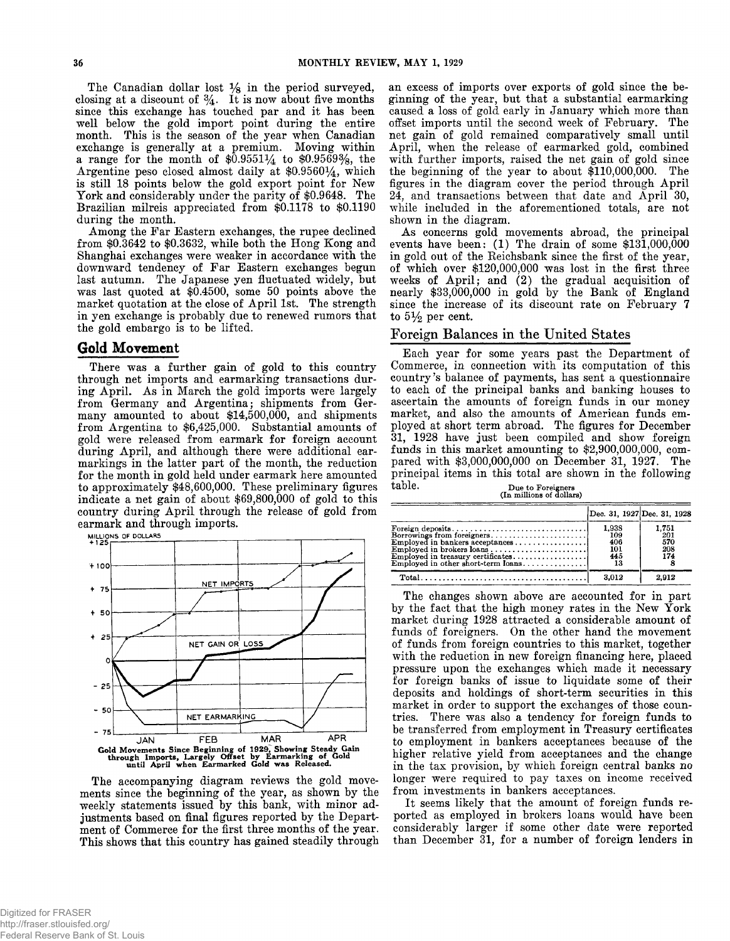**The Canadian dollar lost % in the period surveyed, closing at a discount of % . It is now about five months since this exchange has touched par and it has been well below the gold import point during the entire month. This is the season of the year when Canadian exchange is generally at a premium. Moving within a range for the month of \$0.9551%: to \$0.9569%, the** Argentine peso closed almost daily at \$0.9560<sup>1</sup>/<sub>4</sub>, which **is still 18 points below the gold export point for New York and considerably under the parity of \$0.9648. The Brazilian milreis appreciated from \$0.1178 to \$0.1190 during the month.**

**Among the Far Eastern exchanges, the rupee declined from \$0.3642 to \$0.3632, while both the Hong Kong and Shanghai exchanges were weaker in accordance with the downward tendency of Far Eastern exchanges begun last autumn. The Japanese yen fluctuated widely, but was last quoted at \$0.4500, some 50 points above the market quotation at the close of April 1st. The strength in yen exchange is probably due to renewed rumors that the gold embargo is to be lifted.**

### Gold Movement

**There was a further gain of gold to this country through net imports and earmarking transactions during April. As in March the gold imports were largely from Germany and Argentina; shipments from Germany amounted to about \$14,500,000, and shipments from Argentina to \$6,425,000. Substantial amounts of gold were released from earmark for foreign account during April, and although there were additional earmarkings in the latter part of the month, the reduction for the month in gold held under earmark here amounted to approximately \$48,600,000. These preliminary figures indicate a net gain of about \$69,800,000 of gold to this country during April through the release of gold from earmark and through imports.**



**The accompanying diagram reviews the gold movements since the beginning of the year, as shown by the weekly statements issued by this bank, with minor adjustments based on final figures reported by the Department of Commerce for the first three months of the year. This shows that this country has gained steadily through**

**an excess of imports over exports of gold since the beginning of the year, but that a substantial earmarking caused a loss of gold early in January which more than offset imports until the second week of February. The net gain of gold remained comparatively small until April, when the release of earmarked gold, combined with further imports, raised the net gain of gold since the beginning of the year to about \$110,000,000. The figures in the diagram cover the period through April 24, and transactions between that date and April 30, while included in the aforementioned totals, are not shown in the diagram.**

**As concerns gold movements abroad, the principal** events have been: (1) The drain of some \$131,000,000 **in gold out of the Reichsbank since the first of the year, of which over \$120,000,000 was lost in the first three** weeks of April; and (2) the gradual acquisition of **nearly \$33,000,000 in gold by the Bank of England since the increase of its discount rate on February 7** to  $5\frac{1}{2}$  per cent.

### Foreign Balances in the United States

**Each year for some years past the Department of Commerce, in connection with its computation of this country's balance of payments, has sent a questionnaire to each of the principal banks and banking houses to ascertain the amounts of foreign funds in our money market, and also the amounts of American funds employed at short term abroad. The figures for December 31, 1928 have just been compiled and show foreign funds in this market amounting to \$2,900,000,000, compared with \$3,000,000,000 on December 31, 1927. The principal items in this total are shown in the following table. Due to Foreigners (In millions of dollars)**

|                                                                                                                                    | Dec. 31, 1927 Dec. 31, 1928             |                                   |
|------------------------------------------------------------------------------------------------------------------------------------|-----------------------------------------|-----------------------------------|
| Borrowings from foreigners<br>Employed in brokers loans<br>Employed in treasury certificates<br>Employed in other short-term loans | 1,938<br>109<br>406<br>101<br>445<br>13 | 1,751<br>201<br>570<br>208<br>174 |
|                                                                                                                                    | 3.012                                   | 2.912                             |

**The changes shown above are accounted for in part by the fact that the high money rates in the New York market during 1928 attracted a considerable amount of funds of foreigners. On the other hand the movement of funds from foreign countries to this market, together with the reduction in new foreign financing here, placed pressure upon the exchanges which made it necessary for foreign banks of issue to liquidate some of their deposits and holdings of short-term securities in this market in order to support the exchanges of those countries. There was also a tendency for foreign funds to be transferred from employment in Treasury certificates to employment in bankers acceptances because of the higher relative yield from acceptances and the change in the tax provision, by which foreign central banks no longer were required to pay taxes on income received from investments in bankers acceptances.**

**It seems likely that the amount of foreign funds reported as employed in brokers loans would have been considerably larger if some other date were reported than December 31, for a number of foreign lenders in**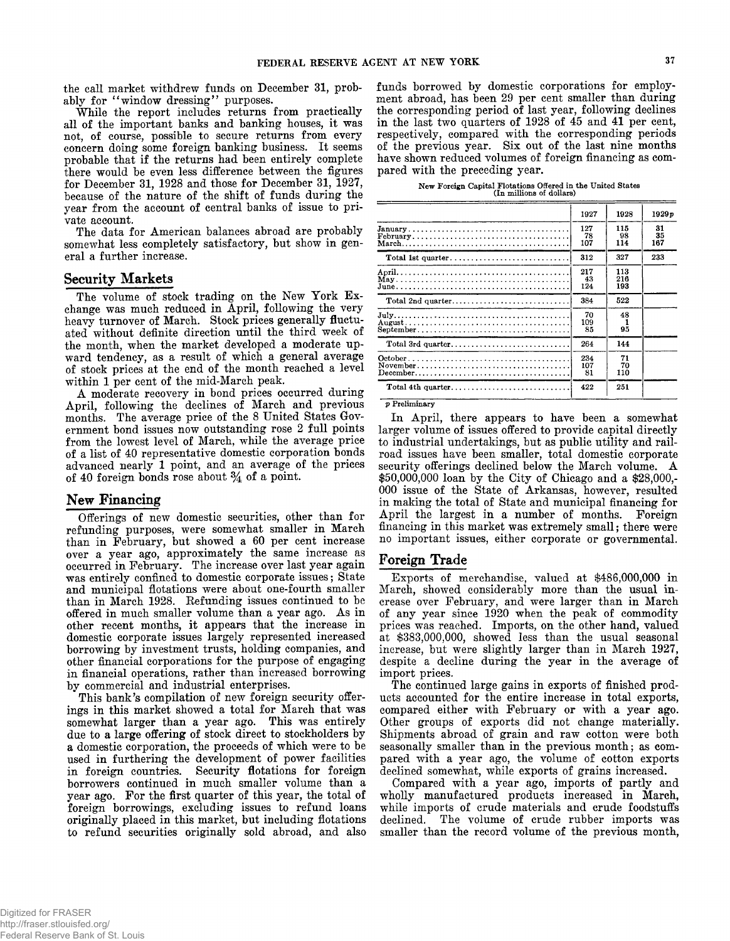**the call market withdrew funds on December 31, probably for " window dressing" purposes.**

**While the report includes returns from practically all of the important banks and banking houses, it was not, of course, possible to secure returns from every concern doing some foreign banking business. It seems probable that if the returns had been entirely complete there would be even less difference between the figures for December 31, 1928 and those for December 31, 1927, because of the nature of the shift of funds during the year from the account of central banks of issue to private account.**

**The data for American balances abroad are probably somewhat less completely satisfactory, but show in general a further increase.**

#### **Security Markets**

**The volume of stock trading on the New York Exchange was much reduced in April, following the very heavy turnover of March. Stock prices generally fluctuated without definite direction until the third week of the month, when the market developed a moderate upward tendency, as a result of which a general average of stock prices at the end of the month reached a level within 1 per cent of the mid-March peak.**

**A moderate recovery in bond prices occurred during April, following the declines of March and previous months. The average price of the 8 United States Government bond issues now outstanding rose 2 full points from the lowest level of March, while the average price of a list of 40 representative domestic corporation bonds advanced nearly 1 point, and an average of the prices of 40 foreign bonds rose about** *%* **of a point.**

#### **New Financing**

**Offerings of new domestic securities, other than for refunding purposes, were somewhat smaller in March than in February, but showed a 60 per cent increase over a year ago, approximately the same increase as occurred in February. The increase over last year again was entirely confined to domestic corporate issues; State and municipal flotations were about one-fourth smaller than in March 1928. Refunding issues continued to be offered in much smaller volume than a year ago. As in other recent months, it appears that the increase in domestic corporate issues largely represented increased borrowing by investment trusts, holding companies, and other financial corporations for the purpose of engaging in financial operations, rather than increased borrowing by commercial and industrial enterprises.**

**This bank's compilation of new foreign security offerings in this market showed a total for March that was somewhat larger than a year ago. This was entirely due to a large offering of stock direct to stockholders by a domestic corporation, the proceeds of which were to be used in furthering the development of power facilities in foreign countries. Security flotations for foreign borrowers continued in much smaller volume than a year ago. For the first quarter of this year, the total of foreign borrowings, excluding issues to refund loans originally placed in this market, but including flotations to refund securities originally sold abroad, and also**

**funds borrowed by domestic corporations for employment abroad, has been 29 per cent smaller than during the corresponding period of last year, following declines in the last two quarters of 1928 of 45 and 41 per cent, respectively, compared with the corresponding periods of the previous year. Six out of the last nine months have shown reduced volumes of foreign financing as compared with the preceding year.**

|  | New Foreign Capital Flotations Offered in the United States |  |  |  |
|--|-------------------------------------------------------------|--|--|--|
|  | (In millions of dollars)                                    |  |  |  |

|                                                                                                | 1927             | 1928              | 1929p           |
|------------------------------------------------------------------------------------------------|------------------|-------------------|-----------------|
| $\text{February} \dots \dots \dots \dots \dots \dots \dots \dots \dots \dots \dots \dots$      | 127<br>78<br>107 | 115<br>98<br>114  | 31<br>35<br>167 |
|                                                                                                | 312              | 327               | 233             |
|                                                                                                | 217<br>43<br>124 | 113<br>216<br>193 |                 |
| Total 2nd quarter                                                                              | 384              | 522               |                 |
|                                                                                                | 70<br>109<br>85  | 48<br>95          |                 |
| Total 3rd quarter                                                                              | 264              | 144               |                 |
| $December \dots \dots \dots \dots \dots \dots \dots \dots \dots \dots \dots \dots \dots \dots$ | 234<br>107<br>81 | 71<br>70<br>110   |                 |
| Total 4th quarter                                                                              | 422              | 251               |                 |

*p* **Preliminary**

**In April, there appears to have been a somewhat larger volume of issues offered to provide capital directly to industrial undertakings, but as public utility and railroad issues have been smaller, total domestic corporate security offerings declined below the March volume. A \$50,000,000 loan by the City of Chicago and a \$28,000,- 000 issue of the State of Arkansas, however, resulted in making the total of State and municipal financing for April the largest in a number of months. Foreign financing in this market was extremely small; there were no important issues, either corporate or governmental.**

#### **Foreign Trade**

**Exports of merchandise, valued at \$486,000,000 in March, showed considerably more than the usual increase over February, and were larger than in March of any year since 1920 when the peak of commodity prices was reached. Imports, on the other hand, valued at \$383,000,000, showed less than the usual seasonal increase, but were slightly larger than in March 1927, despite a decline during the year in the average of import prices.**

**The continued large gains in exports of finished products accounted for the entire increase in total exports, compared either with February or with a year ago. Other groups of exports did not change materially. Shipments abroad of grain and raw cotton were both seasonally smaller than in the previous month; as compared with a year ago, the volume of cotton exports declined somewhat, while exports of grains increased.**

**Compared with a year ago, imports of partly and wholly manufactured products increased in March, while imports of crude materials and crude foodstuffs declined. The volume of crude rubber imports was smaller than the record volume of the previous month,**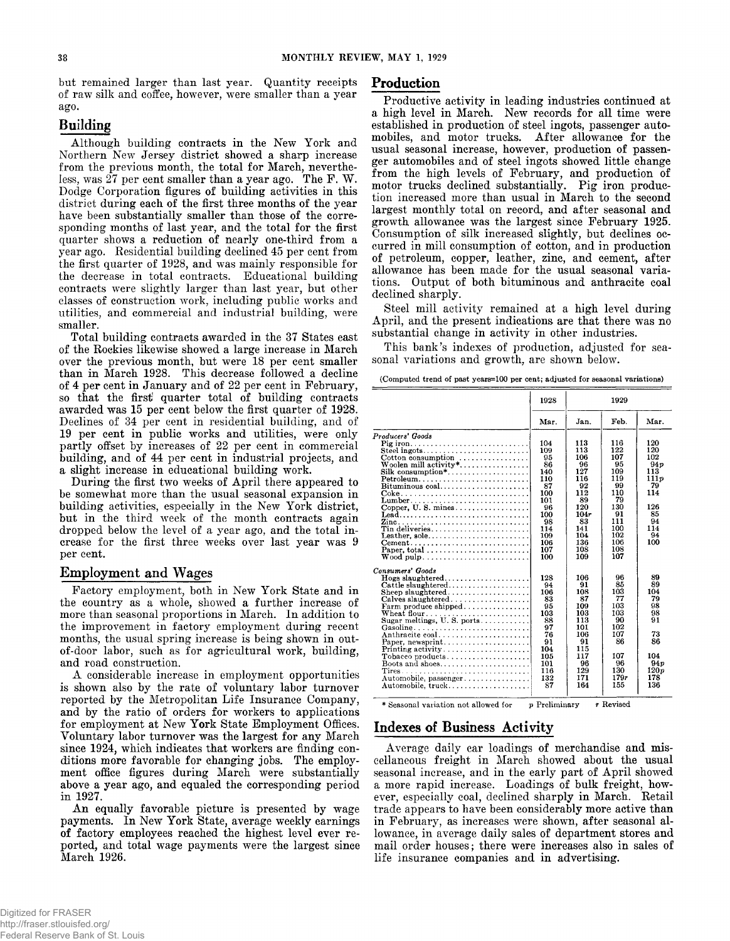**but remained larger than last year. Quantity receipts of raw silk and coffee, however, were smaller than a year ago.**

# **Building**

**Although building contracts in the New York and Northern New Jersey district showed a sharp increase from the previous month, the total for March, neverthe**less, was 27 per cent smaller than a year ago. The F.W. **Dodge Corporation figures of building activities in this district during each of the first three months of the year have been substantially smaller than those of the corresponding months of last year, and the total for the first quarter shows a reduction of nearly one-third from a year ago. Residential building declined 45 per cent from the first quarter of 1928, and was mainly responsible for the decrease in total contracts. Educational building contracts were slightly larger than last year, but other classes of construction work, including public works and utilities, and commercial and industrial building, were smaller.**

**Total building contracts awarded in the 37 States east of the Rockies likewise showed a large increase in March over the previous month, but were 18 per cent smaller than in March 1928. This decrease followed a decline of 4 per cent in January and of 22 per cent in February, so that the first! quarter total of building contracts awarded was 15 per cent below the first quarter of 1928. Declines of 34 per cent in residential building, and of 19 per cent in public works and utilities, were only partly offset by increases of 22 per cent in commercial building, and of 44 per cent in industrial projects, and a slight increase in educational building work.**

**During the first two weeks of April there appeared to be somewhat more than the usual seasonal expansion in building activities, especially in the New York district, but in the third week of the month contracts again dropped below the level of a year ago, and the total increase for the first three weeks over last year was 9 per cent.**

### **Employment and Wages**

**Factory employment, both in New York State and in the country as a whole, showed a further increase of more than seasonal proportions in March. In addition to the improvement in factory employment during recent months, the usual spring increase is being shown in outof-door labor, such as for agricultural work, building, and road construction.**

**A considerable increase in employment opportunities is shown also by the rate of voluntary labor turnover reported by the Metropolitan Life Insurance Company, and by the ratio of orders for workers to applications for employment at New York State Employment Offices. Voluntary labor turnover was the largest for any March since 1924, which indicates that workers are finding conditions more favorable for changing jobs. The employment office figures during March were substantially above a year ago, and equaled the corresponding period in 1927.**

**An equally favorable picture is presented by wage payments. In New York State, average weekly earnings of factory employees reached the highest level ever reported, and total wage payments were the largest since March 1926.**

#### **Production**

**Productive activity in leading industries continued at a high level in March. New records for all time were established in production of steel ingots, passenger automobiles, and motor trucks. After allowance for the usual seasonal increase, however, production of passenger automobiles and of steel ingots showed little change from the high levels of February, and production of motor trucks declined substantially. Pig iron production increased more than usual in March to the second largest monthly total on record, and after seasonal and growth allowance was the largest since February 1925. Consumption of silk increased slightly, but declines occurred in mill consumption of cotton, and in production of petroleum, copper, leather, zinc, and cement, after allowance has been made for the usual seasonal variations. Output of both bituminous and anthracite coal declined sharply.**

**Steel mill activity remained at a high level during April, and the present indications are that there was no substantial change in activity in other industries.**

**This bank's indexes of production, adjusted for seasonal variations and growth, are shown below.**

|                                                             | 1928 |      | 1929 |              |
|-------------------------------------------------------------|------|------|------|--------------|
|                                                             | Mar. | Jan. | Feb. | Mar.         |
| Producers' Goods                                            |      |      |      |              |
|                                                             | 104  | 113  | 116  | 120          |
| Steel ingots                                                | 109  | 113  | 122  | 120          |
| Cotton consumption $\ldots, \ldots, \ldots, \ldots$         | 95   | 106  | 107  | 102          |
| Woolen mill activity*                                       | 86   | 96   | 95   | 94 p         |
| $Silk consumption*, \ldots, \ldots, \ldots, \ldots, \ldots$ | 140  | 127  | 109  | 113          |
| Petroleum                                                   | 110  | 116  | 119  | 111p         |
| Bituminous coal                                             | 87   | 92   | 99   | 79           |
|                                                             | 100  | 112  | 110  | 114          |
|                                                             | 101  | 89   | 79   |              |
|                                                             | 96   | 120  | 130  | 126          |
| Lead                                                        | 100  | 104r | 91   | 85           |
|                                                             | 98   | 83   | 111  | 94           |
| Tin deliveries                                              | 114  | 141  | 100  | 114          |
| Leather, sole                                               | 109  | 104  | 102  | 94           |
|                                                             | 106  | 136  | 106  | 100          |
|                                                             | 107  | 108  | 108  |              |
| $W$ ood pulp                                                | 100  | 109  | 107  |              |
| Consumers' Goods                                            |      |      |      |              |
|                                                             | 128  | 106  | 96   | 89           |
|                                                             | 94   | 91   | 85   | 89           |
| Sheep slaughtered                                           | 106  | 108  | 103  | 104          |
| Calves slaughtered                                          | 83   | 87   | 77   | 79           |
| Farm produce shipped                                        | 95   | 109  | 103  | 98           |
| Wheat flour                                                 | 103  | 103  | 103  | 98           |
| Sugar meltings, U.S. ports                                  | 88   | 113  | 90   | 91           |
| Gasoline                                                    | 97   | 101  | 102  |              |
| Anthracite coal                                             | 76   | 106  | 107  | 73           |
| Paper, newsprint                                            | 91   | 91   | 86   | 86           |
| Printing activity $\dots \dots \dots \dots \dots \dots$     | 104  | 115  |      |              |
| Tobacco products                                            | 105  | 117  | 107  | 104          |
| Boots and shoes                                             | 101  | 96   | 96   | 94p          |
|                                                             | 116  | 129  | 130  | 120 <i>p</i> |
| Automobile, passenger                                       | 132  | 171  | 179r | 178          |
|                                                             | 87   | 164  | 155  | 136          |
|                                                             |      |      |      |              |

**\* Seasonal variation not allowed for p Preliminary** *r* **Revised**

# **Indexes of Business Activity**

**Average daily car loadings of merchandise and miscellaneous freight in March showed about the usual seasonal increase, and in the early part of April showed a more rapid increase. Loadings of bulk freight, however, especially coal, declined sharply in March. Retail trade appears to have been considerably more active than in February, as increases were shown, after seasonal allowance, in average daily sales of department stores and mail order houses; there were increases also in sales of life insurance companies and in advertising.**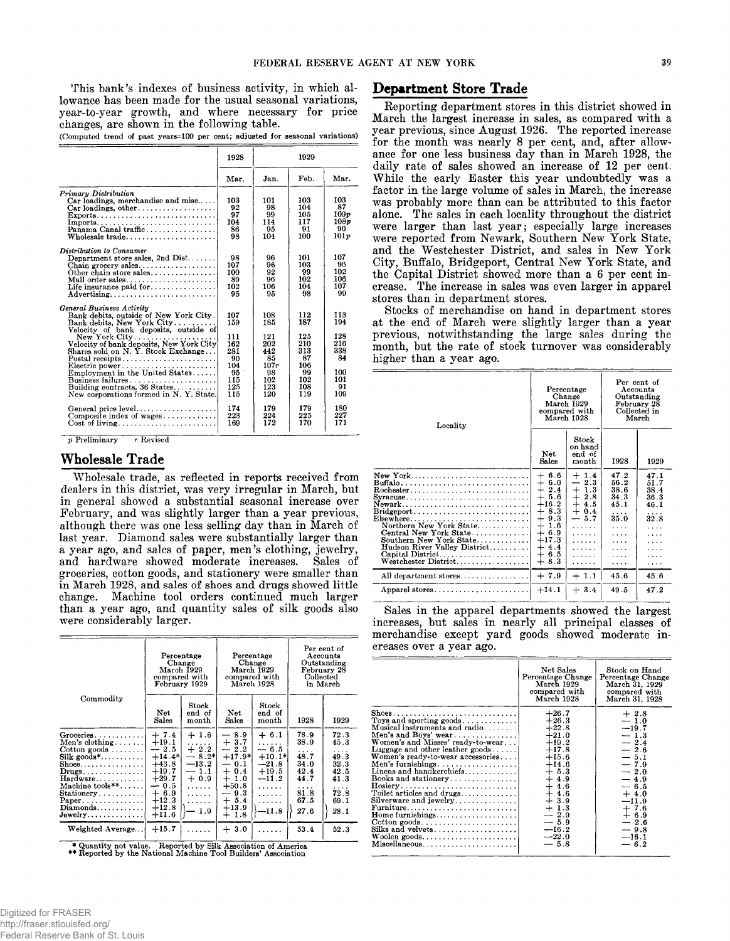**This bank's indexes of business activity, in which allowance has been made for the usual seasonal variations, year-to-year growth, and where necessary for price changes, are shown in the following table.**

**(Computed trend of past years=100 per cent; adjusted for seasonal variations)**

|                                                                                                                                                                                                                                                                                                                                                                                                                       | 1928                                                                    | 1929                                                                     |                                                                         |                                                                  |
|-----------------------------------------------------------------------------------------------------------------------------------------------------------------------------------------------------------------------------------------------------------------------------------------------------------------------------------------------------------------------------------------------------------------------|-------------------------------------------------------------------------|--------------------------------------------------------------------------|-------------------------------------------------------------------------|------------------------------------------------------------------|
|                                                                                                                                                                                                                                                                                                                                                                                                                       | Mar.                                                                    | Jan.                                                                     | Feb.                                                                    | Mar.                                                             |
| Primary Distribution<br>$Car$ loadings, merchandise and misc<br>Car loadings, other<br>$\text{Exports}$<br>Panama Canal traffic<br>Wholesale trade                                                                                                                                                                                                                                                                    | 103<br>92<br>97<br>104<br>86<br>98                                      | 101<br>98<br>99<br>114<br>95<br>104                                      | 103<br>104<br>105<br>117<br>91<br>100                                   | 103<br>87<br>109p<br>108p<br>90<br>101p                          |
| Distribution to Consumer<br>Department store sales, $2nd$ Dist<br>Other chain store sales<br>Advertising                                                                                                                                                                                                                                                                                                              | 98<br>107<br>100<br>89<br>102<br>95                                     | 96<br>96<br>92<br>96<br>106<br>95                                        | 101<br>103<br>99<br>102<br>104<br>98                                    | 107<br>96<br>102<br>106<br>107<br>99                             |
| General Business Activity<br>Bank debits, outside of New York City.<br>Bank debits, New York City<br>Velocity of bank deposits, outside of<br>New York City<br>Velocity of bank deposits, New York City<br>Shares sold on N Y. Stock Exchange<br>Postal receipts<br>Electric power<br>Employment in the United States<br>Business failures<br>Building contracts, 36 States<br>New corporations formed in N.Y. State. | 107<br>159<br>111<br>162<br>281<br>90<br>104<br>95<br>115<br>125<br>115 | 108<br>185<br>121<br>202<br>442<br>85<br>107r<br>98<br>102<br>123<br>120 | 112<br>187<br>125<br>210<br>313<br>87<br>106<br>99<br>102<br>108<br>119 | 113<br>194<br>128<br>216<br>338<br>84<br>100<br>101<br>91<br>109 |
| General price level<br>Composite index of wages<br>Cost of $living \ldots \ldots \ldots \ldots \ldots \ldots$                                                                                                                                                                                                                                                                                                         | 174<br>223<br>169                                                       | 179<br>224<br>172                                                        | 179<br>225<br>170                                                       | 180<br>227<br>171                                                |

*p* **Preliminary r Revised**

# **Wholesale Trade**

**Wholesale trade, as reflected in reports received from dealers in this district, was very irregular in March, but in general showed a substantial seasonal increase over February, and was slightly larger than a year previous, although there was one less selling day than in March of last year. Diamond sales were substantially larger than a year ago, and sales of paper, men's clothing, jewelry, and hardware showed moderate increases. Sales of groceries, cotton goods, and stationery were smaller than in March 1928, and sales of shoes and drugs showed little change. Machine tool orders continued much larger than a year ago, and quantity sales of silk goods also were considerably larger.**

|                                                                                                                                                                                                                                                                                                                     | Percentage<br>Change<br>March 1929<br>compared with<br>February 1929                                                          |                                                                                  | Percentage<br>Change<br>March 1929<br>compared with<br>March 1928                                                                                                                  |                                                                                             | Per cent of<br>Accounts<br>Outstanding<br>February 28<br>Collected<br>in March |                                                                                |
|---------------------------------------------------------------------------------------------------------------------------------------------------------------------------------------------------------------------------------------------------------------------------------------------------------------------|-------------------------------------------------------------------------------------------------------------------------------|----------------------------------------------------------------------------------|------------------------------------------------------------------------------------------------------------------------------------------------------------------------------------|---------------------------------------------------------------------------------------------|--------------------------------------------------------------------------------|--------------------------------------------------------------------------------|
| Commodity                                                                                                                                                                                                                                                                                                           | Net<br>Sales                                                                                                                  | Stock<br>end of<br>month                                                         | <b>Net</b><br>Sales                                                                                                                                                                | Stock<br>end of<br>month                                                                    | 1928                                                                           | 1929                                                                           |
| $G$ roceries<br>Men's clothing $\ldots$<br>Cotton goods $\dots\dots$<br>$Silk$ goods*<br>$\text{Shoes.} \dots \dots \dots \dots \dots$<br>$Drugs \ldots \ldots \ldots \ldots$<br>$Hardware \ldots \ldots$<br>Machine $tools**$<br>$Stationery \ldots \ldots$<br>Paper<br>$Diamonds \ldots \ldots \ldots$<br>Jewelry | $+7.4$<br>$+19.1$<br>$-2.5$<br>$+14.4*$<br>$+43.8$<br>$+19.7$<br>$+29.7$<br>$-0.5$<br>$+6.9$<br>$+12.3$<br>$+12.8$<br>$+11.6$ | $+1.6$<br>$+2.2$<br>$-8.2*$<br>$-13.2$<br>$-1.1$<br>$+0.9$<br>.<br>.<br>.<br>1.9 | 8.9<br>حسد<br>$+3.7$<br>2.2<br>$\overline{\phantom{0}}$<br>$+17.9*$<br>$-0.1$<br>0.4<br>$+$<br>$+1.0$<br>$+50.8$<br>9.3<br>$\overline{\phantom{0}}$<br>$+5.4$<br>$+13.9$<br>$+1.8$ | $+ 6.1$<br>.<br>$-6.5$<br>$+10.1*$<br>$-21.8$<br>$+19.5$<br>$-11.2$<br>.<br>.<br>.<br>-11.8 | 78.9<br>38.9<br>.<br>48.7<br>34.0<br>42.4<br>44.7<br>.<br>81.8<br>67.5<br>27.6 | 72.3<br>45.3<br>.<br>49.3<br>32.3<br>42.5<br>41.3<br>.<br>72.8<br>69.1<br>28.1 |
| Weighted Average                                                                                                                                                                                                                                                                                                    | $+15.7$                                                                                                                       |                                                                                  | $+3.0$                                                                                                                                                                             |                                                                                             | 53.4                                                                           | 52.3                                                                           |

**\* Quantity not value. Reported by Silk Association of America \*\* Reported by the National Machine Tool Builders\* Association**

#### **Department Store Trade**

**Reporting department stores in this district showed in March the largest increase in sales, as compared with a year previous, since August 1926. The reported increase for the month was nearly 8 per cent, and, after allowance for one less business day than in March 1928, the daily rate of sales showed an increase of 12 per cent. While the early Easter this year undoubtedly was a factor in the large volume of sales in March, the increase was probably more than can be attributed to this factor alone. The sales in each locality throughout the district were larger than last year; especially large increases were reported from Newark, Southern New York State, and the Westchester District, and sales in New York City, Buffalo, Bridgeport, Central New York State, and the Capital District showed more than a 6 per cent increase. The increase in sales was even larger in apparel stores than in department stores.**

**Stocks of merchandise on hand in department stores at the end of March were slightly larger than a year previous, notwithstanding the large sales during the month, but the rate of stock turnover was considerably higher than a year ago.**

| Locality                                                                                                                                                                                                                                                                                                                                                                                                                                 | Percentage<br>Change<br>March 1929<br>compared with<br>March 1928                                                                                                                    |                                                                                                               | Per cent of<br>Accounts<br>Outstanding<br>February 28<br>Collected in<br>March  |                                                                  |
|------------------------------------------------------------------------------------------------------------------------------------------------------------------------------------------------------------------------------------------------------------------------------------------------------------------------------------------------------------------------------------------------------------------------------------------|--------------------------------------------------------------------------------------------------------------------------------------------------------------------------------------|---------------------------------------------------------------------------------------------------------------|---------------------------------------------------------------------------------|------------------------------------------------------------------|
|                                                                                                                                                                                                                                                                                                                                                                                                                                          | Net<br>Sales                                                                                                                                                                         | Stock<br>on hand<br>end of<br>month                                                                           | 1928                                                                            | 1929                                                             |
| New York<br>$\text{Buffalo}, \ldots, \ldots, \ldots, \ldots, \ldots, \ldots, \ldots, \ldots$<br>Rochester<br>Syracuse<br>Newark<br>$\text{Bridgeport} \dots \dots \dots \dots \dots \dots \dots \dots \dots$<br>$Elsewhere \ldots \ldots \ldots \ldots \ldots \ldots \ldots$<br>Northern New York State<br>Central New York State<br>Southern New York State<br>Hudson River Valley District<br>Capital District<br>Westchester District | 6.6<br>$^+$<br>6.0<br>$^{+}$<br>2.4<br>$\pm$<br>$^{+}$<br>5.6<br>$+16.2$<br>8.3<br>+<br>$\pm$<br>9.3<br>$^{+}$<br>1.6<br>6.9<br>$+$<br>$+17.3$<br>4.4<br>$+$<br>$+6.5$<br>$+$<br>8.3 | $+1.4$<br>2.3<br>$\qquad \qquad -$<br>$+1.3$<br>$+2.8$<br>$+4.5$<br>$+0.4$<br>$-5.7$<br>.<br>.<br>.<br>.<br>. | 47.2<br>56.2<br>38.6<br>34.3<br>45.1<br>.<br>35.0<br>.<br>.<br>.<br>.<br>.<br>. | 47.1<br>51.7<br>38.4<br>36.3<br>46.1<br>.<br>32.8<br>.<br>.<br>. |
| All department stores                                                                                                                                                                                                                                                                                                                                                                                                                    | $+7.9$                                                                                                                                                                               | $+1.1$                                                                                                        | 45.6                                                                            | 45.6                                                             |
| Apparel stores. $\dots \dots \dots \dots \dots \dots \dots$                                                                                                                                                                                                                                                                                                                                                                              | $+14.1$                                                                                                                                                                              | $+3.4$                                                                                                        | 49.5                                                                            | 47.2                                                             |

**Sales in the apparel departments showed the largest increases, but sales in nearly all principal classes of merchandise except yard goods showed moderate increases over a year ago.**

|                                                                                                                                                                                                                                                                                                                                                                                                                                                    | Net Sales<br>Percentage Change<br>March 1929<br>compared with<br>March 1928                                                                                                                          | Stock on Hand<br>Percentage Change<br>March 31, 1929<br>compared with<br>March 31, 1928                                                                                                       |
|----------------------------------------------------------------------------------------------------------------------------------------------------------------------------------------------------------------------------------------------------------------------------------------------------------------------------------------------------------------------------------------------------------------------------------------------------|------------------------------------------------------------------------------------------------------------------------------------------------------------------------------------------------------|-----------------------------------------------------------------------------------------------------------------------------------------------------------------------------------------------|
| Toys and sporting goods<br>Musical instruments and radio<br>Men's and Boys' wear<br>Women's and Misses' ready-to-wear<br>Luggage and other leather goods<br>Women's ready-to-wear accessories<br>Linens and handkerchiefs<br>Books and stationery<br>Toilet articles and drugs<br>Silverware and jewelry<br>Furniture<br>Home furnishings<br>$\text{Cotten goods} \dots \dots \dots \dots \dots \dots \dots$<br>Silks and velvets<br>Miscellaneous | $+26.7$<br>$+26.3$<br>$+22.8$<br>$+21.0$<br>$+19.2$<br>$+17.8$<br>$+15.6$<br>$+14.6$<br>$+5.3$<br>$+4.9$<br>$+4.6$<br>$+4.6$<br>$+3.9$<br>$+1.3$<br>$-2.9$<br>$-5.9$<br>$-16.2$<br>$-22.0$<br>$-5.8$ | $+2.8$<br>$-1.0$<br>$-19.7$<br>$-1.3$<br>$-2.4$<br>$-2.6$<br>$-5.1$<br>$-7.9$<br>$-2.0$<br>$-4.9$<br>$-6.5$<br>$+4.0$<br>$-11.9$<br>$+7.6$<br>$+6.9$<br>$-2.6$<br>$-9.8$<br>$-16.1$<br>$-6.2$ |